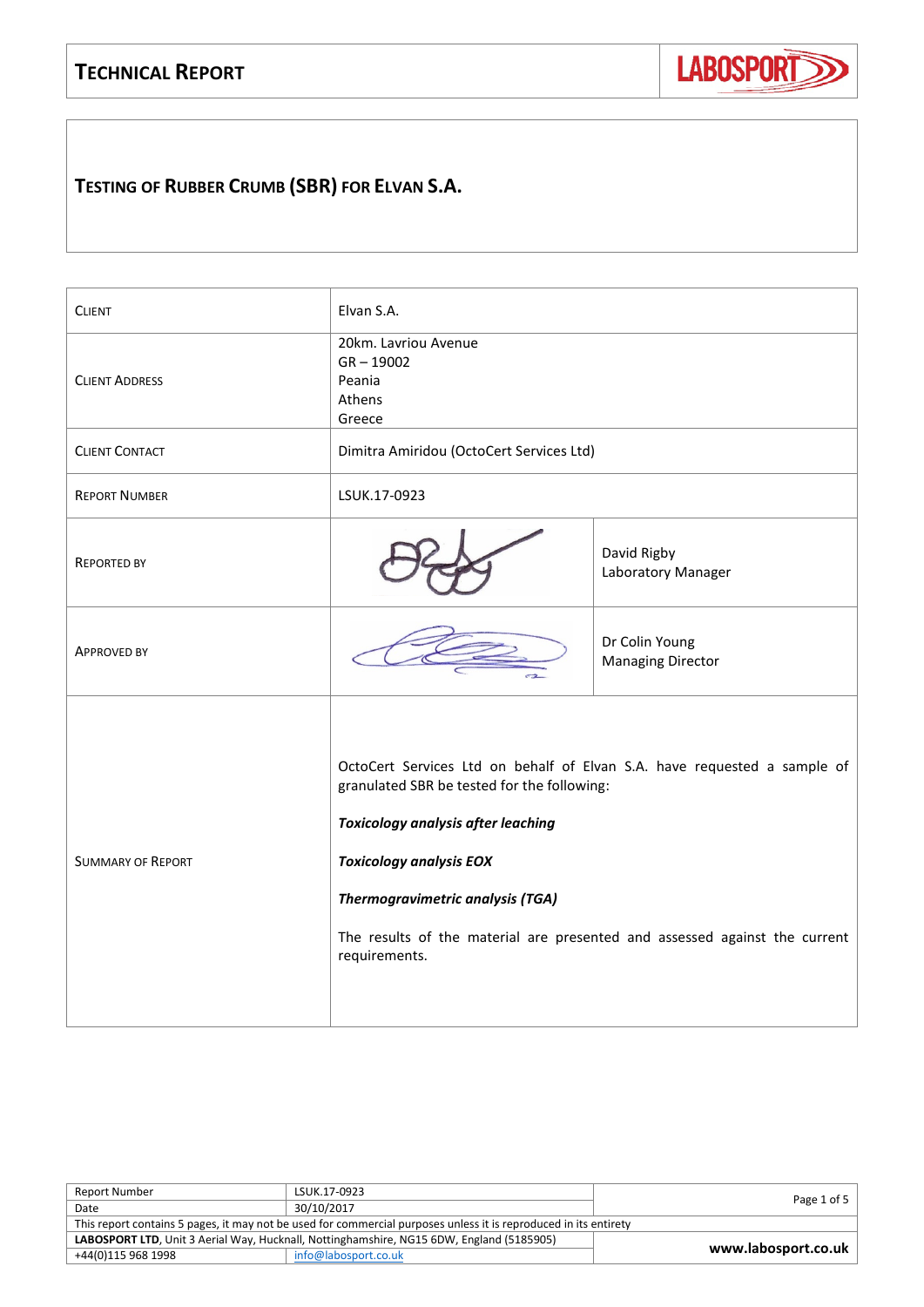## **TECHNICAL REPORT**



# **TESTING OF RUBBER CRUMB (SBR) FOR ELVAN S.A.**

| <b>CLIENT</b>            | Elvan S.A.                                                                                                                                                                                                                                                                                                                                       |                                            |
|--------------------------|--------------------------------------------------------------------------------------------------------------------------------------------------------------------------------------------------------------------------------------------------------------------------------------------------------------------------------------------------|--------------------------------------------|
| <b>CLIENT ADDRESS</b>    | 20km. Lavriou Avenue<br>$GR - 19002$<br>Peania<br>Athens<br>Greece                                                                                                                                                                                                                                                                               |                                            |
| <b>CLIENT CONTACT</b>    | Dimitra Amiridou (OctoCert Services Ltd)                                                                                                                                                                                                                                                                                                         |                                            |
| <b>REPORT NUMBER</b>     | LSUK.17-0923                                                                                                                                                                                                                                                                                                                                     |                                            |
| <b>REPORTED BY</b>       | David Rigby<br>Laboratory Manager                                                                                                                                                                                                                                                                                                                |                                            |
| <b>APPROVED BY</b>       |                                                                                                                                                                                                                                                                                                                                                  | Dr Colin Young<br><b>Managing Director</b> |
| <b>SUMMARY OF REPORT</b> | OctoCert Services Ltd on behalf of Elvan S.A. have requested a sample of<br>granulated SBR be tested for the following:<br><b>Toxicology analysis after leaching</b><br><b>Toxicology analysis EOX</b><br><b>Thermogravimetric analysis (TGA)</b><br>The results of the material are presented and assessed against the current<br>requirements. |                                            |

| <b>Report Number</b>                                                                                             | LSUK.17-0923         | Page 1 of 5         |
|------------------------------------------------------------------------------------------------------------------|----------------------|---------------------|
| Date                                                                                                             | 30/10/2017           |                     |
| This report contains 5 pages, it may not be used for commercial purposes unless it is reproduced in its entirety |                      |                     |
| LABOSPORT LTD, Unit 3 Aerial Way, Hucknall, Nottinghamshire, NG15 6DW, England (5185905)                         |                      |                     |
| +44(0)115 968 1998                                                                                               | info@labosport.co.uk | www.labosport.co.uk |
|                                                                                                                  |                      |                     |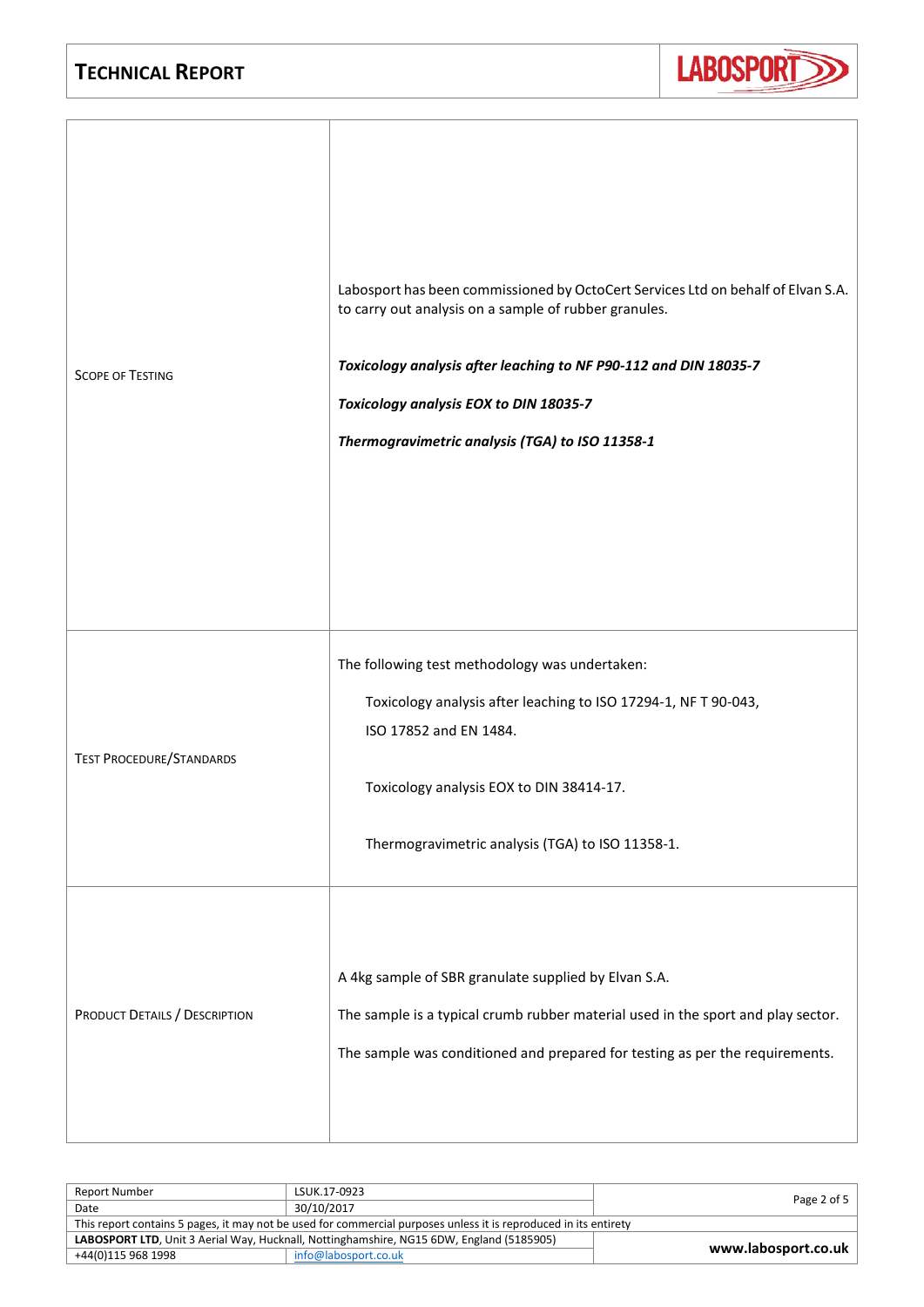

| <b>SCOPE OF TESTING</b>         | Labosport has been commissioned by OctoCert Services Ltd on behalf of Elvan S.A.<br>to carry out analysis on a sample of rubber granules.<br>Toxicology analysis after leaching to NF P90-112 and DIN 18035-7<br>Toxicology analysis EOX to DIN 18035-7<br>Thermogravimetric analysis (TGA) to ISO 11358-1 |
|---------------------------------|------------------------------------------------------------------------------------------------------------------------------------------------------------------------------------------------------------------------------------------------------------------------------------------------------------|
| <b>TEST PROCEDURE/STANDARDS</b> | The following test methodology was undertaken:<br>Toxicology analysis after leaching to ISO 17294-1, NF T 90-043,<br>ISO 17852 and EN 1484.<br>Toxicology analysis EOX to DIN 38414-17.<br>Thermogravimetric analysis (TGA) to ISO 11358-1.                                                                |
| PRODUCT DETAILS / DESCRIPTION   | A 4kg sample of SBR granulate supplied by Elvan S.A.<br>The sample is a typical crumb rubber material used in the sport and play sector.<br>The sample was conditioned and prepared for testing as per the requirements.                                                                                   |

| <b>Report Number</b>                                                                                             | LSUK.17-0923         |                     |  |
|------------------------------------------------------------------------------------------------------------------|----------------------|---------------------|--|
| Date                                                                                                             | 30/10/2017           | Page 2 of 5         |  |
| This report contains 5 pages, it may not be used for commercial purposes unless it is reproduced in its entirety |                      |                     |  |
| LABOSPORT LTD, Unit 3 Aerial Way, Hucknall, Nottinghamshire, NG15 6DW, England (5185905)                         |                      |                     |  |
| +44(0)115 968 1998                                                                                               | info@labosport.co.uk | www.labosport.co.uk |  |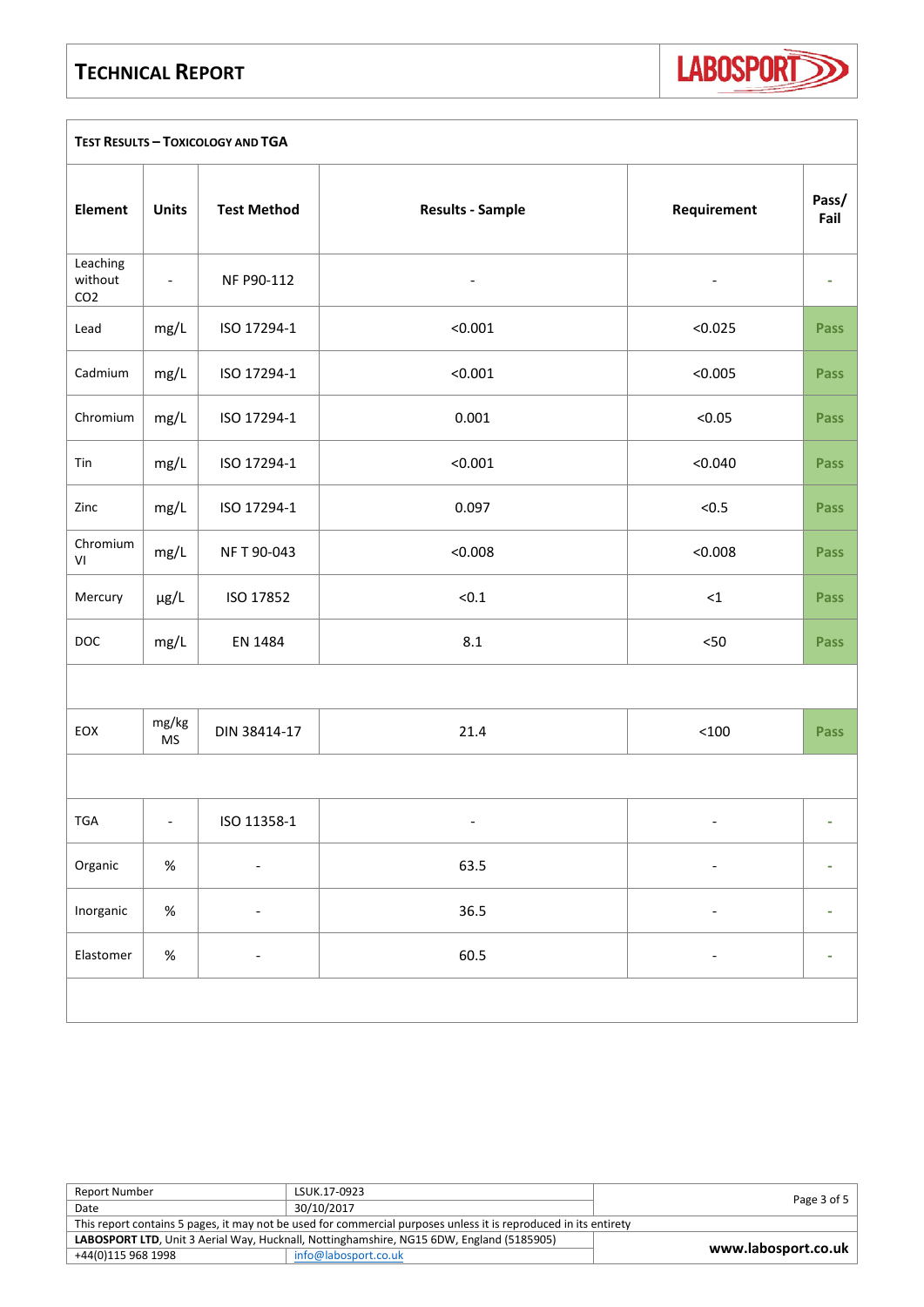### **TECHNICAL REPORT**

LABOSPORT<sub>3</sub>

| <b>TEST RESULTS - TOXICOLOGY AND TGA</b> |                          |                          |                          |                          |               |
|------------------------------------------|--------------------------|--------------------------|--------------------------|--------------------------|---------------|
| Element                                  | <b>Units</b>             | <b>Test Method</b>       | <b>Results - Sample</b>  | Requirement              | Pass/<br>Fail |
| Leaching<br>without<br>CO <sub>2</sub>   | $\overline{\phantom{a}}$ | NF P90-112               |                          | $\overline{\phantom{0}}$ |               |
| Lead                                     | mg/L                     | ISO 17294-1              | < 0.001                  | < 0.025                  | <b>Pass</b>   |
| Cadmium                                  | mg/L                     | ISO 17294-1              | < 0.001                  | < 0.005                  | <b>Pass</b>   |
| Chromium                                 | mg/L                     | ISO 17294-1              | 0.001                    | < 0.05                   | <b>Pass</b>   |
| Tin                                      | mg/L                     | ISO 17294-1              | < 0.001                  | < 0.040                  | <b>Pass</b>   |
| Zinc                                     | mg/L                     | ISO 17294-1              | 0.097                    | < 0.5                    | <b>Pass</b>   |
| Chromium<br>$\mathsf{VI}$                | mg/L                     | NFT 90-043               | < 0.008                  | < 0.008                  | <b>Pass</b>   |
| Mercury                                  | μg/L                     | ISO 17852                | < 0.1                    | ${<}1$                   | <b>Pass</b>   |
| DOC                                      | mg/L                     | EN 1484                  | $8.1\,$                  | $< 50$                   | <b>Pass</b>   |
|                                          |                          |                          |                          |                          |               |
| EOX                                      | mg/kg<br><b>MS</b>       | DIN 38414-17             | 21.4                     | < 100                    | <b>Pass</b>   |
|                                          |                          |                          |                          |                          |               |
| TGA                                      | $\overline{\phantom{a}}$ | ISO 11358-1              | $\overline{\phantom{a}}$ |                          | ٠             |
| Organic                                  | $\%$                     | $\overline{\phantom{0}}$ | 63.5                     | $\overline{\phantom{0}}$ |               |
| Inorganic                                | $\%$                     |                          | 36.5                     |                          | ۰             |
| Elastomer                                | $\%$                     | $\overline{\phantom{0}}$ | 60.5                     | $\overline{\phantom{0}}$ | ۰             |
|                                          |                          |                          |                          |                          |               |

| <b>Report Number</b>                                                                                             | LSUK.17-0923         | Page 3 of 5         |
|------------------------------------------------------------------------------------------------------------------|----------------------|---------------------|
| Date                                                                                                             | 30/10/2017           |                     |
| This report contains 5 pages, it may not be used for commercial purposes unless it is reproduced in its entirety |                      |                     |
| LABOSPORT LTD, Unit 3 Aerial Way, Hucknall, Nottinghamshire, NG15 6DW, England (5185905)                         |                      | www.labosport.co.uk |
| +44(0)115 968 1998                                                                                               | info@labosport.co.uk |                     |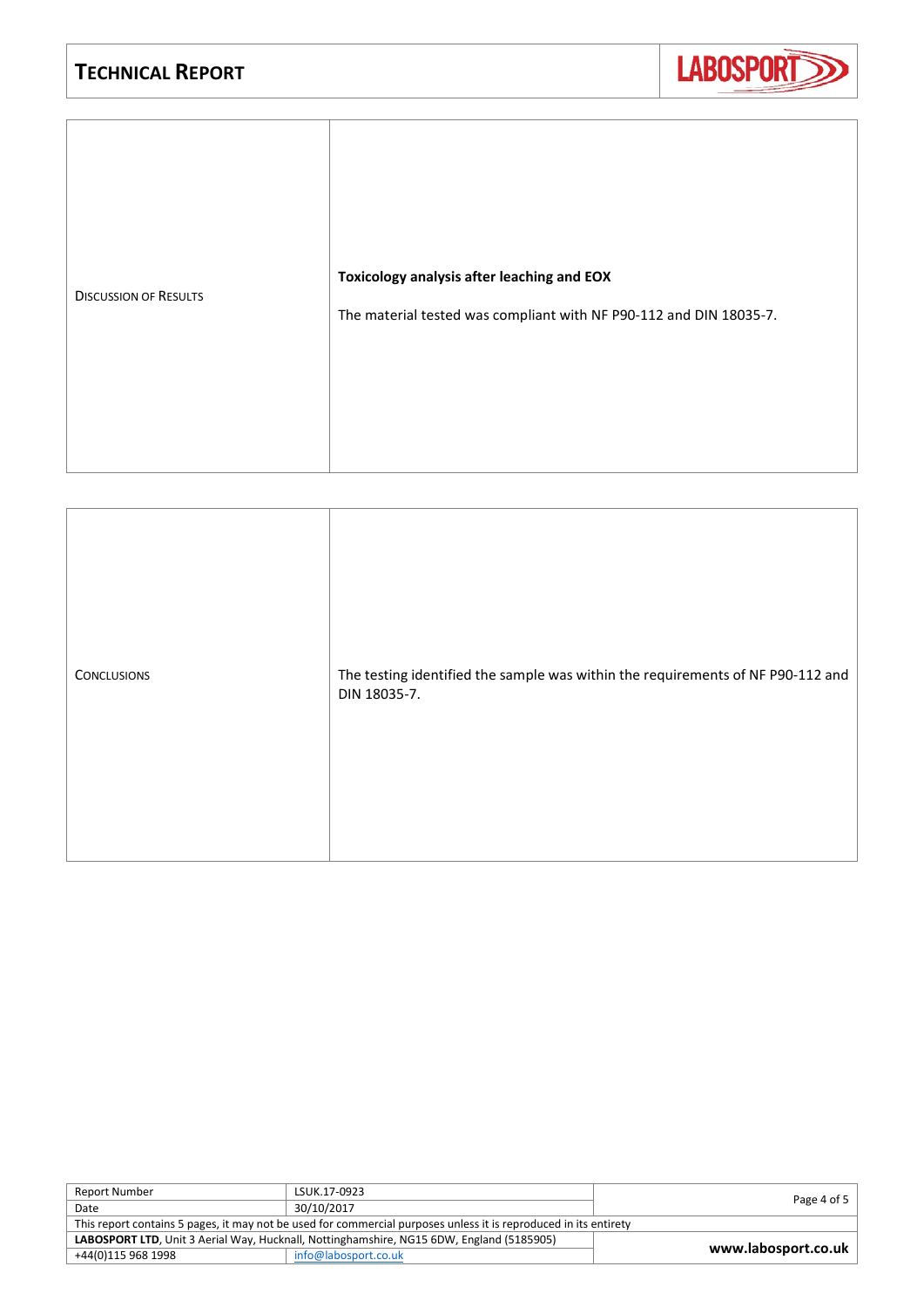

| The testing identified the sample was within the requirements of NF P90-112 and<br><b>CONCLUSIONS</b><br>DIN 18035-7. |
|-----------------------------------------------------------------------------------------------------------------------|
|-----------------------------------------------------------------------------------------------------------------------|

| LSUK.17-0923                                                                                                     |                     |  |
|------------------------------------------------------------------------------------------------------------------|---------------------|--|
| 30/10/2017                                                                                                       | Page 4 of 5         |  |
| This report contains 5 pages, it may not be used for commercial purposes unless it is reproduced in its entirety |                     |  |
| LABOSPORT LTD, Unit 3 Aerial Way, Hucknall, Nottinghamshire, NG15 6DW, England (5185905)                         |                     |  |
| info@labosport.co.uk                                                                                             | www.labosport.co.uk |  |
|                                                                                                                  |                     |  |